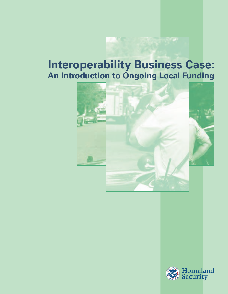# **Interoperability Business Case: An Introduction to Ongoing Local Funding**



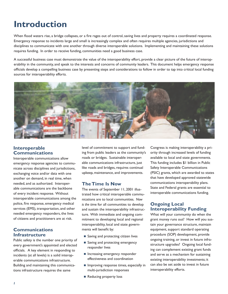# **Introduction**

When flood waters rise, a bridge collapses, or a fire rages out of control, saving lives and property requires a coordinated response. Emergency response to incidents large and small is increasingly complex and often requires multiple agencies, jurisdictions and disciplines to communicate with one another through diverse interoperable solutions. Implementing and maintaining these solutions requires funding. In order to receive funding, communities need a good business case.

A successful business case must demonstrate the value of the interoperability effort, provide a clear picture of the future of interoperability in the community, and speak to the interests and concerns of community leaders. This document helps emergency response officials develop a compelling business case by presenting steps and considerations to follow in order to tap into critical local funding sources for interoperability efforts.



### **Interoperable Communications**

Interoperable communications allow emergency response agencies to communicate across disciplines and jurisdictions, exchanging voice and/or data with one another on demand, in real time, when needed, and as authorized. Interoperable communications are the backbone of every incident response. Without interoperable communications among the police, fire response, emergency medical services (EMS), transportation, and other needed emergency responders, the lives of citizens and practitioners are at risk.

### **Communications Infrastructure**

Public safety is the number one priority of every government's appointed and elected officials. A key element in responding to incidents (at all levels) is a solid interoperable communications infrastructure. Building and maintaining this communications infrastructure requires the same

level of commitment to support and funding from public leaders as the community's roads or bridges. Sustainable interoperable communications infrastructure, just like roads and bridges, requires continual upkeep, maintenance, and improvements.

### **The Time Is Now**

The events of September 11, 2001 illustrated how critical interoperable communications are to local communities. *Now is the tim*e for all communities to develop and sustain the interoperability infrastructure. With immediate and ongoing commitment to developing local and regional interoperability, local and state governments will benefit by:

- Saving and protecting citizen lives
- Saving and protecting emergency responder lives
- **Increasing emergency responder** effectiveness and coordination
- **Improving response times, especially in** multi-jurisdiction responses
- Reducing property loss

Congress is making interoperability a priority through increased levels of funding available to local and state governments. This funding includes \$1 billion in Public Safety Interoperable Communications (PSIC) grants, which are awarded to states that have developed approved statewide communications interoperability plans. State and Federal grants are essential to interoperable communications funding.

## **Ongoing Local Interoperability Funding**

What will your community do when the grant money runs out? How will you sustain your governance structure, maintain equipment, support standard operating procedure (SOP) development, provide ongoing training, or invest in future infrastructure upgrades? Ongoing local funding can complement existing grant funds and serve as a mechanism for sustaining existing interoperability investments; it can also be set aside to invest in future interoperability efforts.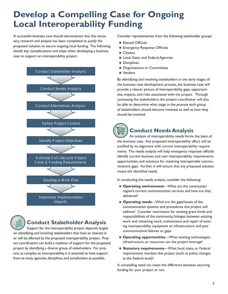# **Develop a Compelling Case for Ongoing Local Interoperability Funding**

A successful business case should demonstrate that the necessary research and analysis has been completed to justify the proposed solution to secure ongoing local funding. The following details key considerations and steps when developing a business case to support an interoperability project.





# **Conduct Stakeholder Analysis**

Support for the interoperability project depends largely on identifying and involving stakeholders that have an interest in or will be affected by the proposed interoperability project. Project coordinators can build a coalition of support for the proposed project by identifying a diverse group of stakeholders. For projects as complex as interoperability, it is essential to have support from as many agencies, disciplines, and jurisdictions as possible.

Consider representatives from the following stakeholder groups:

- **Elected Officials**
- **Emergency Response Officials**
- Citizens
- Local, State, and Federal Agencies
- **Disciplines**
- **Organizations or Committees**
- Vendors

By identifying and involving stakeholders in the early stages of the business case development process, the business case will provide a clearer picture of interoperability gaps, opportunities, impacts, and risks associated with the project. Through canvassing the stakeholders, the project coordinator will also be able to determine what stage in the process each group of stakeholders should become involved, as well as how they should be involved.

# ₩

## **Conduct Needs Analysis**

An analysis of interoperability needs forms the basis of the business case. Any proposed interoperability effort will be justified by its alignment with current interoperability requirements. The needs analysis will help emergency response officials identify current business and user interoperability requirements, opportunities, and solutions for resolving interoperable communications gaps. Further, it will ensure that any proposed solution meets the identified needs.

In conducting the needs analysis, consider the following:

- **Operating environment**—What are the community/ region's current communication services and how are they delivered?
- **Operating needs**—What are the gaps/issues of the communication systems and procedures this project will address? Consider restrictions for existing grant funds and responsibilities of the community, linkages between existing work and remaining work, maintenance and repair of existing interoperability equipment or infrastructure, and past communications failures or gaps.
- **Operating opportunities—What existing technologies,** infrastructure, or resources can the project leverage?
- **Statutory requirements**—What local, state, or Federal requirements mandate this project (such as policy changes at the Federal level)?

A compelling need can mean the difference between securing funding for your project or not.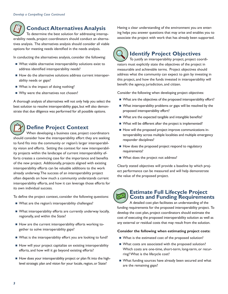# **Conduct Alternatives Analysis**

To determine the best solution for addressing interoperability needs, project coordinators should conduct an alternatives analysis. The alternatives analysis should consider all viable options for meeting needs identified in the needs analysis.

In conducting the alternatives analysis, consider the following:

- What viable alternative interoperability solutions exist to address identified interoperability needs?
- How do the alternative solutions address current interoperability needs or gaps?
- What is the impact of doing nothing?
- Why were the alternatives not chosen?

A thorough analysis of alternatives will not only help you select the best solution to resolve interoperability gaps, but will also demonstrate that due diligence was performed for all possible options.



# **Define Project Context**

When developing a business case, project coordinators should consider how the interoperability effort they are seeking to fund fits into the community or region's larger interoperability vision and efforts. Setting the context for new interoperability projects within the landscape of current interoperability efforts creates a convincing case for the importance and benefits of the new project. Additionally, projects aligned with existing interoperability efforts can be valuable additions to the work already underway. The success of an interoperability project often depends on how much a community understands current interoperability efforts, and how it can leverage those efforts for its own individual success.

To define the project context, consider the following questions:

- What are the region's interoperability challenges?
- What interoperability efforts are currently underway locally, regionally, and within the State?
- How are the current interoperability efforts working together to solve interoperability gaps?
- What is the interoperability effort you are looking to fund?
- How will your project capitalize on existing interoperability efforts, and how will it go beyond existing efforts?
- How does your interoperability project or plan fit into the highlevel strategic plan and vision for your locale, region, or State?

Having a clear understanding of the environment you are entering helps you answer questions that may arise and enables you to associate the project with work that has already been supported.

# **Identify Project Objectives**

To justify an interoperability project, project coordinators must explicitly state the objectives of the project in measurable and achievable terms. Project objectives should address what the community can expect to gain by investing in this project, and how the funds invested in interoperability will benefit the agency, jurisdiction, and citizen.

Consider the following when developing project objectives:

- What are the objectives of the proposed interoperability effort?
- What interoperability problems or gaps will be resolved by the proposed interoperability effort?
- What are the expected tangible and intangible benefits?
- What will be different after the project is implemented?
- How will the proposed project improve communications interoperability across multiple localities and multiple emergency responder disciplines?
- How does the proposed project respond to regulatory requirements?
- What does the project not address?

Clearly stated objectives will provide a baseline by which project performance can be measured and will help demonstrate the value of the proposed project.

# **Estimate Full Lifecycle Project Costs and Funding Requirements**

A detailed cost plan facilitates an understanding of the funding requirements for the proposed interoperability project. To develop the cost plan, project coordinators should estimate the cost of executing the proposed interoperability solution as well as any external or residual costs that may result from the solution.

### **Consider the following when estimating project costs:**

- What is the estimated cost of the proposed solution?
- What costs are associated with the proposed solution? Which costs are one-time, short-term, long-term, or recurring? What is the lifecycle cost?
- What funding sources have already been secured and what are the remaining gaps?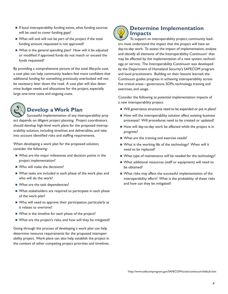- $\blacksquare$  If local interoperability funding exists, what funding sources will be used to cover funding gaps?
- What will and will not be part of the project if the total funding amount requested is not approved?
- What is the general spending plan? How will it be adjusted or modified if approved funds do not match or exceed the funds requested?

By providing a comprehensive picture of the total lifecycle cost, a cost plan can help community leaders feel more confident that additional funding for something previously overlooked will not be necessary later down the road. A cost plan will also determine budget needs and allocations for the project, especially large one-time costs and ongoing costs.



# **Develop a Work Plan**

Successful implementation of any interoperability project depends on diligent project planning. Project coordinators should develop high-level work plans for the proposed interoperability solution, including timelines and deliverables, and take into account identified risks and staffing requirements.

When developing a work plan for the proposed solution, consider the following:

- What are the major milestones and decision points in the project implementation?
- Who will make the decisions?
- What tasks are included in each phase of the work plan and who will do the work?
- What are the task dependencies?
- What stakeholders are required to participate in each phase of the work plan?
- Who will need to approve their participation, particularly as it relates to overtime?
- What is the timeline for each phase of the project?
- What are the project's risks, and how will they be mitigated?

Going through the process of developing a work plan can help determine resource requirements for the proposed interoperability project. Work plans can also help establish the project in the context of other competing project priorities and timelines.



## **Determine Implementation Impacts**

To support an interoperability project, community leaders must understand the impact that the project will have on day-to-day work. To assess the impact of implementation, analyze and identify all elements of the Interoperability Continuum' that may be affected by the implementation of a new system, technology, or service. The Interoperability Continuum was developed by the Department of Homeland Security's SAFECOM program and local practitioners. Building on their lessons learned, the Continuum guides progress in achieving interoperability across five critical areas—governance, SOPs, technology, training and exercises, and usage.

Consider the following as potential implementation impacts of a new interoperability project:

- Will governance structures need to be expanded or put in place?
- $\blacksquare$  How will the interoperability solution affect existing business processes? Will procedures need to be created or updated?
- How will day-to-day work be affected while the project is in progress?
- What are the training and exercise needs?
- What is the working life of the technology? When will it need to be replaced?
- What type of maintenance will be needed for the technology?
- What additional resources (staff or equipment) will need to be obtained?
- What risks may affect the successful implementation of the interoperability effort? What is the probability of these risks and how can they be mitigated?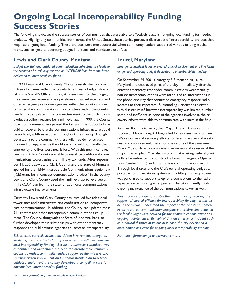# **Ongoing Local Interoperability Funding Success Stories**

The following showcases the success stories of communities that were able to effectively establish ongoing local funding for needed projects. Highlighting communities from across the United States, these stories portray a diverse set of interoperability projects that required ongoing local funding. These projects were most successful when community leaders supported various funding mechanisms, such as general operating budget line items and mandatory user fees.

### **Lewis and Clark County, Montana**

*Budget shortfall and outdated communications infrastructure leads to the creation of a mill levy tax and an INTERCAP loan from the State dedicated to interoperability funds.* 

In 1998, Lewis and Clark County, Montana established a committee of citizens within the county to address a budget shortfall in the Sheriff's Office. During its assessment of the budget, the committee reviewed the operations of law enforcement and other emergency response agencies within the county and determined the communications infrastructure within the county needed to be updated. The committee went to the public to introduce a ballot measure for a mill levy tax. In 1999, the County Board of Commissioners passed the tax with the support of the public; however, before the communications infrastructure could be updated, wildfires erupted throughout the County. Though devastating to the community, these wildfires demonstrated the need for upgrades, as the old system could not handle the emergency and lives were nearly lost. With this new incentive, Lewis and Clark County was able to install two additional communications towers using the mill levy tax funds. After September 11, 2001, Lewis and Clark County and the State of Montana applied for the FEMA Interoperable Communications Equipment (ICE) grant for a "concept demonstration project" in the county. Lewis and Clark County used their mill levy tax to leverage an INTERCAP loan from the state for additional communications infrastructure improvements.

Currently, Lewis and Clark County has installed five additional tower sites and a microwave ring configuration to incorporate data communications. In addition, the County has updated their 911 centers and other interoperable communications equipment. The County, along with the State of Montana, has also further developed their relationships with other emergency response and public works agencies to increase interoperability.

*This success story illustrates how citizen involvement, emergency incidents, and the introduction of a new tax can influence ongoing local interoperability funding. Because a taxpayer committee was established and understood the need for interoperable communications upgrades, community leaders supported the mill levy tax. By using citizen involvement and a demonstrable plan to replace outdated equipment, the county developed a compelling case for ongoing local interoperability funding.*

## **Laurel, Maryland**

*Emergency incident leads to elected official involvement and line items on general operating budget dedicated to interoperability funding.* 

On September 24, 2001, a category F-3 tornado hit Laurel, Maryland and destroyed parts of the city. Immediately after the disaster, emergency responder communications were virtually non-existent; complications were attributed to interruptions in the phone circuitry that connected emergency response radio systems to their repeaters. Surrounding jurisdictions assisted with disaster relief; however, interoperability was limited, cumbersome, and inefficient as none of the agencies involved in the recovery efforts were able to communicate with units in the field.

As a result of the tornado, then-Mayor Frank P. Casula and his successor, Mayor Craig A. Moe, called for an assessment of Laurel's response and recovery efforts to determine areas of weakness and improvement. Based on the results of the assessment, Mayor Moe ordered a comprehensive review and revision of the City's disaster plan. Moe also dictated that existing Federal grant dollars be redirected to construct a formal Emergency Operations Center (EOC) and install a new communications switch. Through local taxes and the City's general operating budget, a portable communications system with a tilt-up crank-up tower was purchased to support telephone connections to the radio repeater system during emergencies. The city currently funds ongoing maintenance of the communications tower as well.

*This success story demonstrates the importance of securing the support of elected officials for interoperability funding. In this incident, the mayors understood the impact of the disaster on emergency response communications/response; therefore, line items on the local budget were secured for the communications tower and ongoing maintenance. By highlighting an emergency incident such as a natural disaster in its business case, the city developed a more compelling case for ongoing local interoperability funding*

*For more information go to www.laurel.md.us* 

*For more information go to www.co.lewis-clark.mt.us*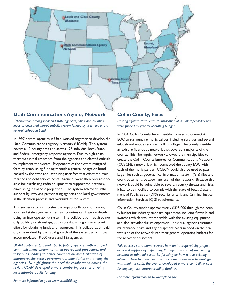

### **Utah Communications Agency Network**

*Collaboration among local and state agencies, cities, and counties leads to dedicated interoperability system funded by user fees and a general obligation bond.*

In 1997, several agencies in Utah worked together to develop the Utah Communications Agency Network (UCAN). This system covers a 12-county area and serves 125 individual local, State, and Federal emergency response agencies. Due to high costs, there was initial resistance from the agencies and elected officials to implement the system. Proponents of the system mitigated fears by establishing funding through a general obligation bond backed by the state and instituting user fees that offset the maintenance and debt service costs. Agencies were then only responsible for purchasing radio equipment to support the network, diminishing initial cost projections. The system achieved further support by involving participating agencies and local governments in the decision process and oversight of the system.

This success story illustrates the impact collaboration among local and state agencies, cities, and counties can have on developing an interoperability system. The collaboration required not only building relationships, but also establishing a shared joint effort for obtaining funds and resources. This collaboration paid off, as is evident by the rapid growth of the system, which now accommodates 18,000 users and 125 agencies.

*UCAN continues to benefit participating agencies with a unified communications system, common operational procedures, and talkgroups, leading to better coordination and facilitation of interoperability across governmental boundaries and among the agencies. By highlighting the need for collaboration among the region, UCAN developed a more compelling case for ongoing local interoperability funding.*

### **Collin County, Texas**

*Existing infrastructure leads to installation of an interoperability network funded by general operating budget.* 

In 2004, Collin County, Texas identified a need to connect its EOC to surrounding municipalities, including six cities and several educational entities such as Collin College. The county identified an existing fiber-optic network that covered a majority of the county. This fiber-optic network allowed the municipalities to create the Collin County Emergency Communications Network (CCECN), a network which connected the county EOC with each of the municipalities. CCECN could also be used to pass large files such as geographical information system (GIS) files and court documents between any user of the network. Because this network could be vulnerable to several security threats and risks, it had to be modified to comply with the State of Texas Department of Public Safety (DPS) security criteria and Criminal Justice Information Services (CJIS) requirements.

Collin County funded approximately \$325,000 through the county budget for industry standard equipment, including firewalls and switches, which was interoperable with the existing equipment and also provided future expansion. Individual agencies assumed maintenance costs and any equipment costs needed on the private side of the network into their general operating budgets for the network equipment.

*This success story demonstrates how an interoperability project achieved support by expanding the infrastructure of an existing network at minimal costs. By focusing on how to use existing infrastructure to meet needs and accommodate new technologies with minimal costs, the county developed a more compelling case for ongoing local interoperability funding.*

*For more information go to www.plano.gov*

*For more information go to www.ucan800.org*